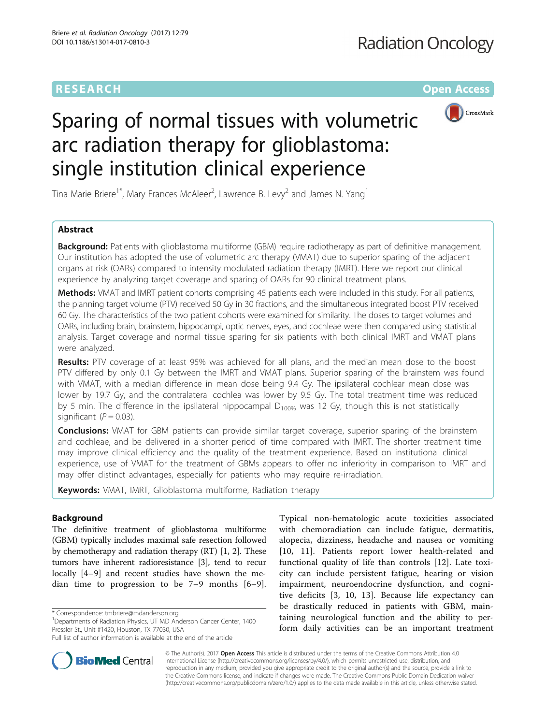# **RESEARCH CHE Open Access**



# Sparing of normal tissues with volumetric arc radiation therapy for glioblastoma: single institution clinical experience

Tina Marie Briere<sup>1\*</sup>, Mary Frances McAleer<sup>2</sup>, Lawrence B. Levy<sup>2</sup> and James N. Yang<sup>1</sup>

# Abstract

**Background:** Patients with glioblastoma multiforme (GBM) require radiotherapy as part of definitive management. Our institution has adopted the use of volumetric arc therapy (VMAT) due to superior sparing of the adjacent organs at risk (OARs) compared to intensity modulated radiation therapy (IMRT). Here we report our clinical experience by analyzing target coverage and sparing of OARs for 90 clinical treatment plans.

Methods: VMAT and IMRT patient cohorts comprising 45 patients each were included in this study. For all patients, the planning target volume (PTV) received 50 Gy in 30 fractions, and the simultaneous integrated boost PTV received 60 Gy. The characteristics of the two patient cohorts were examined for similarity. The doses to target volumes and OARs, including brain, brainstem, hippocampi, optic nerves, eyes, and cochleae were then compared using statistical analysis. Target coverage and normal tissue sparing for six patients with both clinical IMRT and VMAT plans were analyzed.

Results: PTV coverage of at least 95% was achieved for all plans, and the median mean dose to the boost PTV differed by only 0.1 Gy between the IMRT and VMAT plans. Superior sparing of the brainstem was found with VMAT, with a median difference in mean dose being 9.4 Gy. The ipsilateral cochlear mean dose was lower by 19.7 Gy, and the contralateral cochlea was lower by 9.5 Gy. The total treatment time was reduced by 5 min. The difference in the ipsilateral hippocampal  $D_{100\%}$  was 12 Gy, though this is not statistically significant ( $P = 0.03$ ).

**Conclusions:** VMAT for GBM patients can provide similar target coverage, superior sparing of the brainstem and cochleae, and be delivered in a shorter period of time compared with IMRT. The shorter treatment time may improve clinical efficiency and the quality of the treatment experience. Based on institutional clinical experience, use of VMAT for the treatment of GBMs appears to offer no inferiority in comparison to IMRT and may offer distinct advantages, especially for patients who may require re-irradiation.

Keywords: VMAT, IMRT, Glioblastoma multiforme, Radiation therapy

# Background

The definitive treatment of glioblastoma multiforme (GBM) typically includes maximal safe resection followed by chemotherapy and radiation therapy (RT) [\[1](#page-7-0), [2](#page-7-0)]. These tumors have inherent radioresistance [\[3\]](#page-7-0), tend to recur locally [\[4](#page-7-0)–[9](#page-8-0)] and recent studies have shown the median time to progression to be 7–9 months [[6](#page-7-0)–[9](#page-8-0)].

\* Correspondence: [tmbriere@mdanderson.org](mailto:tmbriere@mdanderson.org) <sup>1</sup>

<sup>1</sup>Departments of Radiation Physics, UT MD Anderson Cancer Center, 1400 Pressler St., Unit #1420, Houston, TX 77030, USA

Typical non-hematologic acute toxicities associated with chemoradiation can include fatigue, dermatitis, alopecia, dizziness, headache and nausea or vomiting [[10, 11](#page-8-0)]. Patients report lower health-related and functional quality of life than controls [[12](#page-8-0)]. Late toxicity can include persistent fatigue, hearing or vision impairment, neuroendocrine dysfunction, and cognitive deficits [[3,](#page-7-0) [10, 13](#page-8-0)]. Because life expectancy can be drastically reduced in patients with GBM, maintaining neurological function and the ability to perform daily activities can be an important treatment



© The Author(s). 2017 **Open Access** This article is distributed under the terms of the Creative Commons Attribution 4.0 International License [\(http://creativecommons.org/licenses/by/4.0/](http://creativecommons.org/licenses/by/4.0/)), which permits unrestricted use, distribution, and reproduction in any medium, provided you give appropriate credit to the original author(s) and the source, provide a link to the Creative Commons license, and indicate if changes were made. The Creative Commons Public Domain Dedication waiver [\(http://creativecommons.org/publicdomain/zero/1.0/](http://creativecommons.org/publicdomain/zero/1.0/)) applies to the data made available in this article, unless otherwise stated.

Full list of author information is available at the end of the article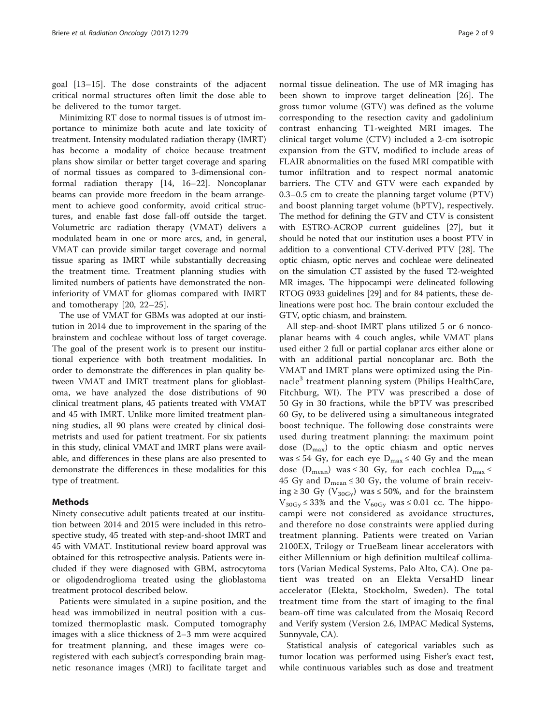goal [[13](#page-8-0)–[15](#page-8-0)]. The dose constraints of the adjacent critical normal structures often limit the dose able to be delivered to the tumor target.

Minimizing RT dose to normal tissues is of utmost importance to minimize both acute and late toxicity of treatment. Intensity modulated radiation therapy (IMRT) has become a modality of choice because treatment plans show similar or better target coverage and sparing of normal tissues as compared to 3-dimensional conformal radiation therapy [\[14](#page-8-0), [16](#page-8-0)–[22\]](#page-8-0). Noncoplanar beams can provide more freedom in the beam arrangement to achieve good conformity, avoid critical structures, and enable fast dose fall-off outside the target. Volumetric arc radiation therapy (VMAT) delivers a modulated beam in one or more arcs, and, in general, VMAT can provide similar target coverage and normal tissue sparing as IMRT while substantially decreasing the treatment time. Treatment planning studies with limited numbers of patients have demonstrated the noninferiority of VMAT for gliomas compared with IMRT and tomotherapy [\[20](#page-8-0), [22](#page-8-0)–[25](#page-8-0)].

The use of VMAT for GBMs was adopted at our institution in 2014 due to improvement in the sparing of the brainstem and cochleae without loss of target coverage. The goal of the present work is to present our institutional experience with both treatment modalities. In order to demonstrate the differences in plan quality between VMAT and IMRT treatment plans for glioblastoma, we have analyzed the dose distributions of 90 clinical treatment plans, 45 patients treated with VMAT and 45 with IMRT. Unlike more limited treatment planning studies, all 90 plans were created by clinical dosimetrists and used for patient treatment. For six patients in this study, clinical VMAT and IMRT plans were available, and differences in these plans are also presented to demonstrate the differences in these modalities for this type of treatment.

## Methods

Ninety consecutive adult patients treated at our institution between 2014 and 2015 were included in this retrospective study, 45 treated with step-and-shoot IMRT and 45 with VMAT. Institutional review board approval was obtained for this retrospective analysis. Patients were included if they were diagnosed with GBM, astrocytoma or oligodendroglioma treated using the glioblastoma treatment protocol described below.

Patients were simulated in a supine position, and the head was immobilized in neutral position with a customized thermoplastic mask. Computed tomography images with a slice thickness of 2–3 mm were acquired for treatment planning, and these images were coregistered with each subject's corresponding brain magnetic resonance images (MRI) to facilitate target and

normal tissue delineation. The use of MR imaging has been shown to improve target delineation [[26](#page-8-0)]. The gross tumor volume (GTV) was defined as the volume corresponding to the resection cavity and gadolinium contrast enhancing T1-weighted MRI images. The clinical target volume (CTV) included a 2-cm isotropic expansion from the GTV, modified to include areas of FLAIR abnormalities on the fused MRI compatible with tumor infiltration and to respect normal anatomic barriers. The CTV and GTV were each expanded by 0.3–0.5 cm to create the planning target volume (PTV) and boost planning target volume (bPTV), respectively. The method for defining the GTV and CTV is consistent with ESTRO-ACROP current guidelines [\[27\]](#page-8-0), but it should be noted that our institution uses a boost PTV in addition to a conventional CTV-derived PTV [\[28\]](#page-8-0). The optic chiasm, optic nerves and cochleae were delineated on the simulation CT assisted by the fused T2-weighted MR images. The hippocampi were delineated following RTOG 0933 guidelines [[29](#page-8-0)] and for 84 patients, these delineations were post hoc. The brain contour excluded the GTV, optic chiasm, and brainstem.

All step-and-shoot IMRT plans utilized 5 or 6 noncoplanar beams with 4 couch angles, while VMAT plans used either 2 full or partial coplanar arcs either alone or with an additional partial noncoplanar arc. Both the VMAT and IMRT plans were optimized using the Pinnacle<sup>3</sup> treatment planning system (Philips HealthCare, Fitchburg, WI). The PTV was prescribed a dose of 50 Gy in 30 fractions, while the bPTV was prescribed 60 Gy, to be delivered using a simultaneous integrated boost technique. The following dose constraints were used during treatment planning: the maximum point dose  $(D_{\text{max}})$  to the optic chiasm and optic nerves was  $\leq$  54 Gy, for each eye D<sub>max</sub>  $\leq$  40 Gy and the mean dose (D<sub>mean</sub>) was ≤ 30 Gy, for each cochlea D<sub>max</sub> ≤ 45 Gy and  $D_{mean} \leq 30$  Gy, the volume of brain receiving ≥ 30 Gy ( $V_{30\text{Gv}}$ ) was ≤ 50%, and for the brainstem  $V_{30\text{Gy}} \leq 33\%$  and the  $V_{60\text{Gy}}$  was  $\leq 0.01$  cc. The hippocampi were not considered as avoidance structures, and therefore no dose constraints were applied during treatment planning. Patients were treated on Varian 2100EX, Trilogy or TrueBeam linear accelerators with either Millennium or high definition multileaf collimators (Varian Medical Systems, Palo Alto, CA). One patient was treated on an Elekta VersaHD linear accelerator (Elekta, Stockholm, Sweden). The total treatment time from the start of imaging to the final beam-off time was calculated from the Mosaiq Record and Verify system (Version 2.6, IMPAC Medical Systems, Sunnyvale, CA).

Statistical analysis of categorical variables such as tumor location was performed using Fisher's exact test, while continuous variables such as dose and treatment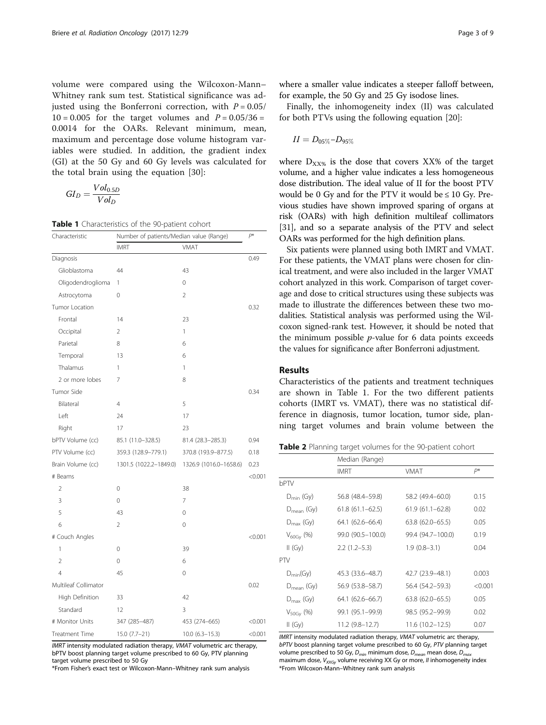<span id="page-2-0"></span>volume were compared using the Wilcoxon-Mann– Whitney rank sum test. Statistical significance was adjusted using the Bonferroni correction, with  $P = 0.05/$  $10 = 0.005$  for the target volumes and  $P = 0.05/36 =$ 0.0014 for the OARs. Relevant minimum, mean, maximum and percentage dose volume histogram variables were studied. In addition, the gradient index (GI) at the 50 Gy and 60 Gy levels was calculated for the total brain using the equation [[30\]](#page-8-0):

$$
GI_D = \frac{Vol_{0.5D}}{Vol_D}
$$

Table 1 Characteristics of the 90-patient cohort

| Characteristic        | Number of patients/Median value (Range) |                        | p*      |
|-----------------------|-----------------------------------------|------------------------|---------|
|                       | <b>IMRT</b>                             | VMAT                   |         |
| Diagnosis             |                                         |                        | 0.49    |
| Glioblastoma          | 44                                      | 43                     |         |
| Oligodendroglioma     | 1                                       | $\Omega$               |         |
| Astrocytoma           | 0                                       | $\overline{2}$         |         |
| Tumor Location        |                                         |                        | 0.32    |
| Frontal               | 14                                      | 23                     |         |
| Occipital             | 2                                       | 1                      |         |
| Parietal              | 8                                       | 6                      |         |
| Temporal              | 13                                      | 6                      |         |
| Thalamus              | 1                                       | 1                      |         |
| 2 or more lobes       | 7                                       | 8                      |         |
| Tumor Side            |                                         |                        | 0.34    |
| Bilateral             | $\overline{4}$                          | 5                      |         |
| Left                  | 24                                      | 17                     |         |
| Right                 | 17                                      | 23                     |         |
| bPTV Volume (cc)      | 85.1 (11.0-328.5)                       | 81.4 (28.3-285.3)      | 0.94    |
| PTV Volume (cc)       | 359.3 (128.9-779.1)                     | 370.8 (193.9-877.5)    | 0.18    |
| Brain Volume (cc)     | 1301.5 (1022.2-1849.0)                  | 1326.9 (1016.0-1658.6) | 0.23    |
| # Beams               |                                         |                        | < 0.001 |
| 2                     | 0                                       | 38                     |         |
| 3                     | $\Omega$                                | 7                      |         |
| 5                     | 43                                      | $\Omega$               |         |
| 6                     | $\overline{2}$                          | 0                      |         |
| # Couch Angles        |                                         |                        | < 0.001 |
| 1                     | 0                                       | 39                     |         |
| $\overline{2}$        | 0                                       | 6                      |         |
| 4                     | 45                                      | 0                      |         |
| Multileaf Collimator  |                                         |                        | 0.02    |
| High Definition       | 33                                      | 42                     |         |
| Standard              | 12                                      | 3                      |         |
| # Monitor Units       | 347 (285-487)                           | 453 (274-665)          | < 0.001 |
| <b>Treatment Time</b> | 15.0 (7.7-21)                           | $10.0$ (6.3-15.3)      | < 0.001 |

IMRT intensity modulated radiation therapy, VMAT volumetric arc therapy, bPTV boost planning target volume prescribed to 60 Gy, PTV planning target volume prescribed to 50 Gy

\*From Fisher's exact test or Wilcoxon-Mann–Whitney rank sum analysis

where a smaller value indicates a steeper falloff between, for example, the 50 Gy and 25 Gy isodose lines.

Finally, the inhomogeneity index (II) was calculated for both PTVs using the following equation [\[20\]](#page-8-0):

$$
II = D_{05\%} - D_{95\%}
$$

where  $D_{\text{XX}\%}$  is the dose that covers XX% of the target volume, and a higher value indicates a less homogeneous dose distribution. The ideal value of II for the boost PTV would be 0 Gy and for the PTV it would be  $\leq 10$  Gy. Previous studies have shown improved sparing of organs at risk (OARs) with high definition multileaf collimators [[31](#page-8-0)], and so a separate analysis of the PTV and select OARs was performed for the high definition plans.

Six patients were planned using both IMRT and VMAT. For these patients, the VMAT plans were chosen for clinical treatment, and were also included in the larger VMAT cohort analyzed in this work. Comparison of target coverage and dose to critical structures using these subjects was made to illustrate the differences between these two modalities. Statistical analysis was performed using the Wilcoxon signed-rank test. However, it should be noted that the minimum possible  $p$ -value for 6 data points exceeds the values for significance after Bonferroni adjustment.

# Results

Characteristics of the patients and treatment techniques are shown in Table 1. For the two different patients cohorts (IMRT vs. VMAT), there was no statistical difference in diagnosis, tumor location, tumor side, planning target volumes and brain volume between the

Table 2 Planning target volumes for the 90-patient cohort

|                        | Median (Range)      |                     |         |
|------------------------|---------------------|---------------------|---------|
|                        | <b>IMRT</b>         | VMAT                | $P^*$   |
| bPTV                   |                     |                     |         |
| $D_{\min}$ (Gy)        | 56.8 (48.4–59.8)    | 58.2 (49.4–60.0)    | 0.15    |
| $D_{\text{mean}}$ (Gy) | $61.8(61.1 - 62.5)$ | $61.9(61.1 - 62.8)$ | 0.02    |
| $D_{\text{max}}$ (Gy)  | 64.1 (62.6–66.4)    | $63.8(62.0 - 65.5)$ | 0.05    |
| $V_{60GV}$ (%)         | 99.0 (90.5-100.0)   | 99.4 (94.7-100.0)   | 0.19    |
| II(Gy)                 | $2.2(1.2-5.3)$      | $1.9(0.8-3.1)$      | 0.04    |
| <b>PTV</b>             |                     |                     |         |
| $D_{\min}(Gy)$         | 45.3 (33.6-48.7)    | 42.7 (23.9-48.1)    | 0.003   |
| $D_{\text{mean}}$ (Gy) | 56.9 (53.8–58.7)    | 56.4 (54.2–59.3)    | < 0.001 |
| $D_{\text{max}}$ (Gy)  | $64.1(62.6 - 66.7)$ | $63.8(62.0 - 65.5)$ | 0.05    |
| $V_{50GV}$ (%)         | 99.1 (95.1-99.9)    | 98.5 (95.2-99.9)    | 0.02    |
| II(Gy)                 | 11.2 (9.8-12.7)     | $11.6(10.2 - 12.5)$ | 0.07    |

IMRT intensity modulated radiation therapy, VMAT volumetric arc therapy, bPTV boost planning target volume prescribed to 60 Gy, PTV planning target volume prescribed to 50 Gy,  $D_{min}$  minimum dose,  $D_{mean}$  mean dose,  $D_{mod}$ maximum dose,  $V_{XXGy}$  volume receiving XX Gy or more, *II* inhomogeneity index \*From Wilcoxon-Mann–Whitney rank sum analysis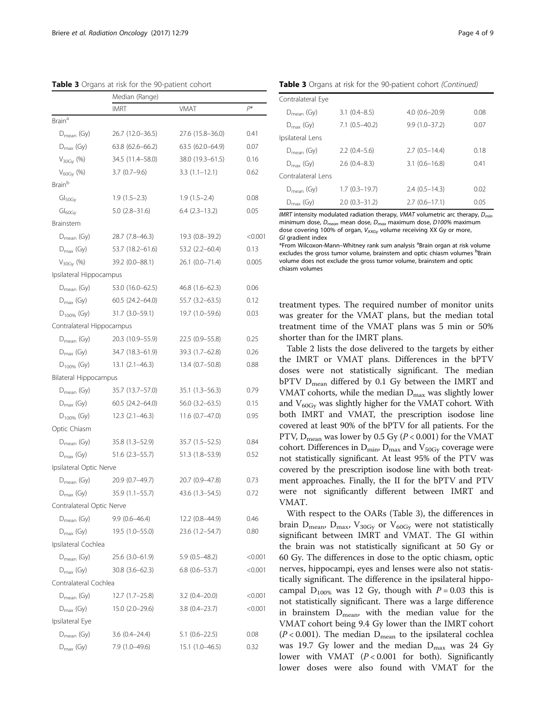<span id="page-3-0"></span>Table 3 Organs at risk for the 90-patient cohort

|                           | Median (Range)                             |                    |         |
|---------------------------|--------------------------------------------|--------------------|---------|
|                           | <b>IMRT</b>                                | <b>VMAT</b>        | P*      |
| <b>Brain</b> <sup>a</sup> |                                            |                    |         |
| $D_{mean}$ (Gy)           | 26.7 (12.0–36.5)                           | 27.6 (15.8–36.0)   | 0.41    |
| $D_{\text{max}}$ (Gy)     | $63.8(62.6 - 66.2)$<br>$63.5(62.0 - 64.9)$ |                    | 0.07    |
| $V_{30Gy}$ (%)            | 34.5 (11.4-58.0)                           | 38.0 (19.3–61.5)   | 0.16    |
| $V_{60Gy}$ (%)            | $3.7(0.7-9.6)$                             | $3.3(1.1-12.1)$    | 0.62    |
| <b>Brain</b> <sup>b</sup> |                                            |                    |         |
| Gl <sub>50Gy</sub>        | $1.9(1.5-2.3)$                             | $1.9(1.5-2.4)$     | 0.08    |
| Gl <sub>60Gy</sub>        | $5.0$ $(2.8 - 31.6)$                       | $6.4$ (2.3–13.2)   | 0.05    |
| Brainstem                 |                                            |                    |         |
| $D_{mean}$ (Gy)           | 28.7 (7.8–46.3)                            | 19.3 (0.8–39.2)    | < 0.001 |
| $D_{\text{max}}$ (Gy)     | 53.7 (18.2–61.6)                           | 53.2 (2.2–60.4)    | 0.13    |
| $V_{30Gy}$ (%)            | 39.2 (0.0–88.1)                            | 26.1 (0.0-71.4)    | 0.005   |
| Ipsilateral Hippocampus   |                                            |                    |         |
| $D_{\text{mean}}$ (Gy)    | 53.0 (16.0–62.5)                           | $46.8(1.6-62.3)$   | 0.06    |
| $D_{\text{max}}$ (Gy)     | $60.5(24.2 - 64.0)$                        | 55.7 (3.2–63.5)    | 0.12    |
| $D_{100\%}$ (Gy)          | 31.7 (3.0-59.1)                            | 19.7 (1.0–59.6)    | 0.03    |
| Contralateral Hippocampus |                                            |                    |         |
| $D_{\text{mean}}$ (Gy)    | 20.3 (10.9–55.9)                           | 22.5 (0.9–55.8)    | 0.25    |
| $D_{\text{max}}$ (Gy)     | 34.7 (18.3–61.9)                           | 39.3 (1.7–62.8)    | 0.26    |
| $D_{100\%}$ (Gy)          | $13.1 (2.1 - 46.3)$                        | 13.4 (0.7-50.8)    | 0.88    |
| Bilateral Hippocampus     |                                            |                    |         |
| $D_{mean}$ (Gy)           | 35.7 (13.7–57.0)                           | $35.1(1.3-56.3)$   | 0.79    |
| $D_{\text{max}}$ (Gy)     | $60.5(24.2 - 64.0)$                        | $56.0(3.2-63.5)$   | 0.15    |
| $D_{100\%}$ (Gy)          | $12.3(2.1-46.3)$                           | $11.6(0.7-47.0)$   | 0.95    |
| Optic Chiasm              |                                            |                    |         |
| $D_{\text{mean}}$ (Gy)    | 35.8 (1.3–52.9)                            | 35.7 (1.5–52.5)    | 0.84    |
| $D_{\text{max}}$ (Gy)     | $51.6(2.3 - 55.7)$                         | 51.3 (1.8-53.9)    | 0.52    |
| Ipsilateral Optic Nerve   |                                            |                    |         |
| $D_{\text{mean}}$ (Gy)    | 20.9 (0.7-49.7)                            | 20.7 (0.9–47.8)    | 0.73    |
| $D_{\text{max}}$ (Gy)     | $35.9(1.1-55.7)$                           | $43.6(1.3 - 54.5)$ | 0.72    |
| Contralateral Optic Nerve |                                            |                    |         |
| $D_{mean}$ (Gy)           | $9.9(0.6 - 46.4)$                          | $12.2(0.8-44.9)$   | 0.46    |
| $D_{\text{max}}$ (Gy)     | 19.5 (1.0–55.0)                            | 23.6 (1.2–54.7)    | 0.80    |
| Ipsilateral Cochlea       |                                            |                    |         |
| $D_{mean}$ (Gy)           | $25.6$ $(3.0 - 61.9)$                      | $5.9(0.5 - 48.2)$  | < 0.001 |
| $D_{\text{max}}$ (Gy)     | $30.8(3.6 - 62.3)$                         | $6.8$ (0.6-53.7)   | < 0.001 |
| Contralateral Cochlea     |                                            |                    |         |
| $D_{mean}$ (Gy)           | $12.7(1.7-25.8)$                           | $3.2(0.4 - 20.0)$  | < 0.001 |
| $D_{\text{max}}$ (Gy)     | $15.0(2.0-29.6)$                           | $3.8(0.4-23.7)$    | < 0.001 |
| Ipsilateral Eye           |                                            |                    |         |
| $D_{mean}$ (Gy)           | $3.6(0.4 - 24.4)$                          | $5.1(0.6-22.5)$    | 0.08    |
| $D_{\text{max}}$ (Gy)     | 7.9 (1.0–49.6)                             | $15.1(1.0-46.5)$   | 0.32    |
|                           |                                            |                    |         |

| <b>Table 3</b> Organs at risk for the 90-patient cohort (Continued) |  |
|---------------------------------------------------------------------|--|
|---------------------------------------------------------------------|--|

| Contralateral Eye      |                   |                   |      |
|------------------------|-------------------|-------------------|------|
| $D_{\text{mean}}$ (Gy) | $3.1(0.4 - 8.5)$  | $4.0(0.6 - 20.9)$ | 0.08 |
| $D_{\text{max}}$ (Gy)  | $7.1(0.5-40.2)$   | $9.9(1.0 - 37.2)$ | 0.07 |
| Ipsilateral Lens       |                   |                   |      |
| $D_{\text{mean}}$ (Gy) | $2.2(0.4-5.6)$    | $2.7(0.5 - 14.4)$ | 0.18 |
| $D_{\text{max}}$ (Gy)  | $2.6(0.4-8.3)$    | $3.1(0.6 - 16.8)$ | 0.41 |
| Contralateral Lens     |                   |                   |      |
| $D_{\text{mean}}$ (Gy) | $1.7(0.3-19.7)$   | $2.4(0.5 - 14.3)$ | 0.02 |
| $D_{\text{max}}$ (Gy)  | $2.0(0.3 - 31.2)$ | $2.7(0.6 - 17.1)$ | 0.05 |

IMRT intensity modulated radiation therapy, VMAT volumetric arc therapy,  $D_{min}$ minimum dose,  $D_{mean}$  mean dose,  $D_{max}$  maximum dose, D100% maximum dose covering 100% of organ,  $V_{\text{XXGy}}$  volume receiving XX Gy or more, GI gradient index

\*From Wilcoxon-Mann–Whitney rank sum analysis <sup>a</sup>Brain organ at risk volume excludes the gross tumor volume, brainstem and optic chiasm volumes <sup>b</sup>Brain volume does not exclude the gross tumor volume, brainstem and optic chiasm volumes

treatment types. The required number of monitor units was greater for the VMAT plans, but the median total treatment time of the VMAT plans was 5 min or 50% shorter than for the IMRT plans.

Table [2](#page-2-0) lists the dose delivered to the targets by either the IMRT or VMAT plans. Differences in the bPTV doses were not statistically significant. The median  $bPTV$   $D_{mean}$  differed by 0.1 Gy between the IMRT and VMAT cohorts, while the median  $D_{\text{max}}$  was slightly lower and  $V_{60\text{Gv}}$  was slightly higher for the VMAT cohort. With both IMRT and VMAT, the prescription isodose line covered at least 90% of the bPTV for all patients. For the PTV,  $D_{mean}$  was lower by 0.5 Gy ( $P < 0.001$ ) for the VMAT cohort. Differences in  $D_{\text{min}}$ ,  $D_{\text{max}}$  and  $V_{50\text{Gy}}$  coverage were not statistically significant. At least 95% of the PTV was covered by the prescription isodose line with both treatment approaches. Finally, the II for the bPTV and PTV were not significantly different between IMRT and VMAT.

With respect to the OARs (Table 3), the differences in brain  $D_{\text{mean}}$ ,  $D_{\text{max}}$ ,  $V_{30\text{Gy}}$  or  $V_{60\text{Gy}}$  were not statistically significant between IMRT and VMAT. The GI within the brain was not statistically significant at 50 Gy or 60 Gy. The differences in dose to the optic chiasm, optic nerves, hippocampi, eyes and lenses were also not statistically significant. The difference in the ipsilateral hippocampal  $D_{100\%}$  was 12 Gy, though with  $P = 0.03$  this is not statistically significant. There was a large difference in brainstem  $D_{\text{mean}}$ , with the median value for the VMAT cohort being 9.4 Gy lower than the IMRT cohort  $(P<0.001)$ . The median D<sub>mean</sub> to the ipsilateral cochlea was 19.7 Gy lower and the median  $D_{\text{max}}$  was 24 Gy lower with VMAT  $(P < 0.001$  for both). Significantly lower doses were also found with VMAT for the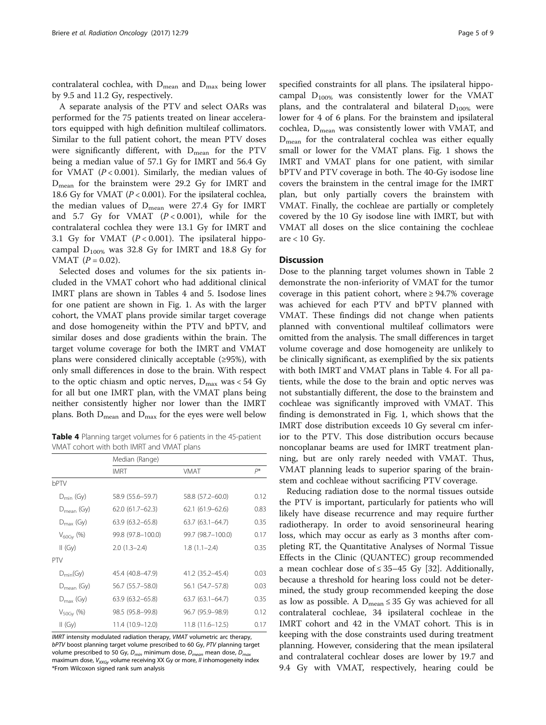<span id="page-4-0"></span>contralateral cochlea, with  $D_{\text{mean}}$  and  $D_{\text{max}}$  being lower by 9.5 and 11.2 Gy, respectively.

A separate analysis of the PTV and select OARs was performed for the 75 patients treated on linear accelerators equipped with high definition multileaf collimators. Similar to the full patient cohort, the mean PTV doses were significantly different, with  $D_{\text{mean}}$  for the PTV being a median value of 57.1 Gy for IMRT and 56.4 Gy for VMAT  $(P < 0.001)$ . Similarly, the median values of D<sub>mean</sub> for the brainstem were 29.2 Gy for IMRT and 18.6 Gy for VMAT ( $P < 0.001$ ). For the ipsilateral cochlea, the median values of  $D_{\text{mean}}$  were 27.4 Gy for IMRT and 5.7 Gy for VMAT  $(P < 0.001)$ , while for the contralateral cochlea they were 13.1 Gy for IMRT and 3.1 Gy for VMAT  $(P < 0.001)$ . The ipsilateral hippocampal  $D_{100\%}$  was 32.8 Gy for IMRT and 18.8 Gy for VMAT  $(P = 0.02)$ .

Selected doses and volumes for the six patients included in the VMAT cohort who had additional clinical IMRT plans are shown in Tables 4 and [5](#page-5-0). Isodose lines for one patient are shown in Fig. [1.](#page-6-0) As with the larger cohort, the VMAT plans provide similar target coverage and dose homogeneity within the PTV and bPTV, and similar doses and dose gradients within the brain. The target volume coverage for both the IMRT and VMAT plans were considered clinically acceptable ( $\geq$ 95%), with only small differences in dose to the brain. With respect to the optic chiasm and optic nerves,  $D_{\text{max}}$  was < 54 Gy for all but one IMRT plan, with the VMAT plans being neither consistently higher nor lower than the IMRT plans. Both  $\mathbf{D}_{\text{mean}}$  and  $\mathbf{D}_{\text{max}}$  for the eyes were well below

Table 4 Planning target volumes for 6 patients in the 45-patient VMAT cohort with both IMRT and VMAT plans

|                        | Median (Range)      |                     |       |
|------------------------|---------------------|---------------------|-------|
|                        | <b>IMRT</b>         | <b>VMAT</b>         | $P^*$ |
| bPTV                   |                     |                     |       |
| $D_{\min}$ (Gy)        | 58.9 (55.6–59.7)    | 58.8 (57.2–60.0)    | 0.12  |
| $D_{\text{mean}}$ (Gy) | $62.0(61.7-62.3)$   | 62.1 (61.9-62.6)    | 0.83  |
| $D_{\text{max}}$ (Gy)  | $63.9(63.2 - 65.8)$ | $63.7(63.1 - 64.7)$ | 0.35  |
| $V_{60GV}$ (%)         | 99.8 (97.8-100.0)   | 99.7 (98.7-100.0)   | 0.17  |
| II(GV)                 | $2.0(1.3-2.4)$      | $1.8(1.1 - 2.4)$    | 0.35  |
| <b>PTV</b>             |                     |                     |       |
| $D_{\min}(G_V)$        | 45.4 (40.8–47.9)    | 41.2 (35.2–45.4)    | 0.03  |
| $D_{\text{mean}}$ (Gy) | 56.7 (55.7–58.0)    | 56.1 (54.7-57.8)    | 0.03  |
| $D_{\text{max}}$ (Gy)  | $63.9(63.2 - 65.8)$ | $63.7(63.1 - 64.7)$ | 0.35  |
| $V_{50GV}$ (%)         | 98.5 (95.8-99.8)    | 96.7 (95.9-98.9)    | 0.12  |
| II(Gy)                 | 11.4 (10.9–12.0)    | 11.8 (11.6–12.5)    | 0.17  |

IMRT intensity modulated radiation therapy, VMAT volumetric arc therapy, bPTV boost planning target volume prescribed to 60 Gy, PTV planning target volume prescribed to 50 Gy,  $D_{min}$  minimum dose,  $D_{mean}$  mean dose,  $D_{max}$ maximum dose,  $V_{XXGy}$  volume receiving XX Gy or more, *II* inhomogeneity index \*From Wilcoxon signed rank sum analysis

specified constraints for all plans. The ipsilateral hippocampal  $D_{100\%}$  was consistently lower for the VMAT plans, and the contralateral and bilateral  $D_{100\%}$  were lower for 4 of 6 plans. For the brainstem and ipsilateral cochlea,  $D_{mean}$  was consistently lower with VMAT, and  $D_{\text{mean}}$  for the contralateral cochlea was either equally small or lower for the VMAT plans. Fig. [1](#page-6-0) shows the IMRT and VMAT plans for one patient, with similar bPTV and PTV coverage in both. The 40-Gy isodose line covers the brainstem in the central image for the IMRT plan, but only partially covers the brainstem with VMAT. Finally, the cochleae are partially or completely covered by the 10 Gy isodose line with IMRT, but with VMAT all doses on the slice containing the cochleae are  $< 10$  Gy.

## **Discussion**

Dose to the planning target volumes shown in Table [2](#page-2-0) demonstrate the non-inferiority of VMAT for the tumor coverage in this patient cohort, where  $\geq 94.7\%$  coverage was achieved for each PTV and bPTV planned with VMAT. These findings did not change when patients planned with conventional multileaf collimators were omitted from the analysis. The small differences in target volume coverage and dose homogeneity are unlikely to be clinically significant, as exemplified by the six patients with both IMRT and VMAT plans in Table 4. For all patients, while the dose to the brain and optic nerves was not substantially different, the dose to the brainstem and cochleae was significantly improved with VMAT. This finding is demonstrated in Fig. [1,](#page-6-0) which shows that the IMRT dose distribution exceeds 10 Gy several cm inferior to the PTV. This dose distribution occurs because noncoplanar beams are used for IMRT treatment planning, but are only rarely needed with VMAT. Thus, VMAT planning leads to superior sparing of the brainstem and cochleae without sacrificing PTV coverage.

Reducing radiation dose to the normal tissues outside the PTV is important, particularly for patients who will likely have disease recurrence and may require further radiotherapy. In order to avoid sensorineural hearing loss, which may occur as early as 3 months after completing RT, the Quantitative Analyses of Normal Tissue Effects in the Clinic (QUANTEC) group recommended a mean cochlear dose of  $\leq$  35–45 Gy [\[32\]](#page-8-0). Additionally, because a threshold for hearing loss could not be determined, the study group recommended keeping the dose as low as possible. A  $D_{mean} \leq 35$  Gy was achieved for all contralateral cochleae, 34 ipsilateral cochleae in the IMRT cohort and 42 in the VMAT cohort. This is in keeping with the dose constraints used during treatment planning. However, considering that the mean ipsilateral and contralateral cochlear doses are lower by 19.7 and 9.4 Gy with VMAT, respectively, hearing could be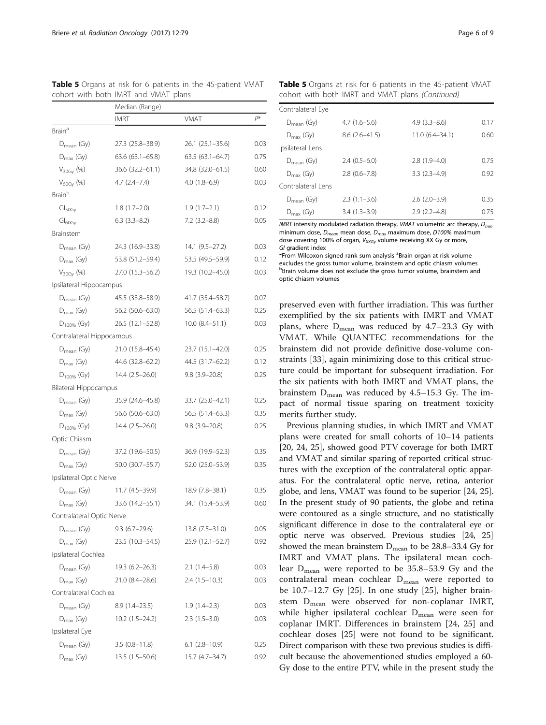|                               | Median (Range)     |                       |       |
|-------------------------------|--------------------|-----------------------|-------|
|                               | <b>IMRT</b>        | VMAT                  | $P^*$ |
| <b>Brain</b> <sup>a</sup>     |                    |                       |       |
| $D_{mean}$ (Gy)               | 27.3 (25.8–38.9)   | 26.1 (25.1–35.6)      | 0.03  |
| $D_{\text{max}}$ (Gy)         | 63.6 (63.1–65.8)   | $63.5(63.1 - 64.7)$   | 0.75  |
| $V_{30Gy}$ (%)                | 36.6 (32.2–61.1)   | 34.8 (32.0–61.5)      | 0.60  |
| $V_{60Gy}$ (%)                | $4.7(2.4 - 7.4)$   | $4.0(1.8-6.9)$        | 0.03  |
| <b>Brain</b> b                |                    |                       |       |
| $\text{Gl}_{\text{50Gy}}$     | $1.8(1.7-2.0)$     | $1.9(1.7-2.1)$        | 0.12  |
| $\mathrm{Gl}_{60\mathrm{Gy}}$ | $6.3(3.3-8.2)$     | 7.2 (3.2–8.8)         | 0.05  |
| Brainstem                     |                    |                       |       |
| $D_{mean}$ (Gy)               | 24.3 (16.9–33.8)   | $14.1 (9.5 - 27.2)$   | 0.03  |
| $D_{\text{max}}$ (Gy)         | 53.8 (51.2–59.4)   | 53.5 (49.5–59.9)      | 0.12  |
| $V_{30Gy}$ (%)                | 27.0 (15.3–56.2)   | 19.3 (10.2–45.0)      | 0.03  |
| Ipsilateral Hippocampus       |                    |                       |       |
| $D_{mean}$ (Gy)               | 45.5 (33.8-58.9)   | 41.7 (35.4–58.7)      | 0.07  |
| $D_{\text{max}}$ (Gy)         | 56.2 (50.6-63.0)   | 56.5 (51.4–63.3)      | 0.25  |
| $D_{100\%}$ (Gy)              | 26.5 (12.1–52.8)   | $10.0$ $(8.4 - 51.1)$ | 0.03  |
| Contralateral Hippocampus     |                    |                       |       |
| $D_{mean}$ (Gy)               | 21.0 (15.8–45.4)   | 23.7 (15.1–42.0)      | 0.25  |
| $D_{\text{max}}$ (Gy)         | 44.6 (32.8–62.2)   | 44.5 (31.7–62.2)      | 0.12  |
| $D_{100\%}$ (Gy)              | $14.4(2.5-26.0)$   | $9.8(3.9-20.8)$       | 0.25  |
| Bilateral Hippocampus         |                    |                       |       |
| $D_{mean}$ (Gy)               | 35.9 (24.6–45.8)   | 33.7 (25.0–42.1)      | 0.25  |
| $D_{\text{max}}$ (Gy)         | 56.6 (50.6–63.0)   | 56.5 (51.4–63.3)      | 0.35  |
| $D_{100\%}$ (Gy)              | 14.4 (2.5-26.0)    | $9.8(3.9-20.8)$       | 0.25  |
| Optic Chiasm                  |                    |                       |       |
| $D_{mean}$ (Gy)               | 37.2 (19.6–50.5)   | 36.9 (19.9–52.3)      | 0.35  |
| $D_{\text{max}}$ (Gy)         | 50.0 (30.7–55.7)   | 52.0 (25.0–53.9)      | 0.35  |
| Ipsilateral Optic Nerve       |                    |                       |       |
| $D_{\text{mean}}$ (Gy)        | 11.7 (4.5–39.9)    | 18.9 (7.8-38.1)       | 0.35  |
| $D_{\text{max}}$ (Gy)         | 33.6 (14.2–55.1)   | 34.1 (15.4–53.9)      | 0.60  |
| Contralateral Optic Nerve     |                    |                       |       |
| $D_{\text{mean}}$ (Gy)        | $9.3(6.7-29.6)$    | $13.8(7.5-31.0)$      | 0.05  |
| $D_{\text{max}}$ (Gy)         | 23.5 (10.3-54.5)   | 25.9 (12.1–52.7)      | 0.92  |
| Ipsilateral Cochlea           |                    |                       |       |
| $D_{\text{mean}}$ (Gy)        | $19.3(6.2 - 26.3)$ | $2.1(1.4-5.8)$        | 0.03  |
| $D_{\text{max}}$ (Gy)         | 21.0 (8.4-28.6)    | $2.4(1.5-10.3)$       | 0.03  |
| Contralateral Cochlea         |                    |                       |       |
| $D_{mean}$ (Gy)               | $8.9(1.4-23.5)$    | $1.9(1.4-2.3)$        | 0.03  |
| $D_{\text{max}}$ (Gy)         | $10.2(1.5-24.2)$   | $2.3(1.5-3.0)$        | 0.03  |
| Ipsilateral Eye               |                    |                       |       |
| $D_{mean}$ (Gy)               | $3.5(0.8-11.8)$    | $6.1$ $(2.8-10.9)$    | 0.25  |
| $D_{\text{max}}$ (Gy)         | $13.5(1.5-50.6)$   | 15.7 (4.7-34.7)       | 0.92  |

<span id="page-5-0"></span>Table 5 Organs at risk for 6 patients in the 45-patient VMAT cohort with both IMRT and VMAT plans

|  |                                                  | Table 5 Organs at risk for 6 patients in the 45-patient VMAT |
|--|--------------------------------------------------|--------------------------------------------------------------|
|  | cohort with both IMRT and VMAT plans (Continued) |                                                              |

| Contralateral Eye      |                  |                    |      |
|------------------------|------------------|--------------------|------|
| $D_{\text{mean}}$ (Gy) | $4.7(1.6-5.6)$   | $4.9(3.3 - 8.6)$   | 0.17 |
| $D_{\text{max}}$ (Gy)  | $8.6(2.6-41.5)$  | $11.0(6.4 - 34.1)$ | 0.60 |
| Ipsilateral Lens       |                  |                    |      |
| $D_{\text{mean}}$ (Gy) | $2.4(0.5-6.0)$   | $2.8(1.9-4.0)$     | 0.75 |
| $D_{\text{max}}$ (Gy)  | $2.8(0.6 - 7.8)$ | $3.3(2.3-4.9)$     | 0.92 |
| Contralateral Lens     |                  |                    |      |
| $D_{\text{mean}}$ (Gy) | $2.3(1.1-3.6)$   | $2.6(2.0-3.9)$     | 0.35 |
| $D_{\text{max}}$ (Gy)  | $3.4(1.3-3.9)$   | $2.9(2.2 - 4.8)$   | 0.75 |

IMRT intensity modulated radiation therapy, VMAT volumetric arc therapy,  $D_{min}$ minimum dose,  $D_{mean}$  mean dose,  $D_{max}$  maximum dose, D100% maximum dose covering 100% of organ,  $V_{\chi\chi_{G_y}}$  volume receiving XX Gy or more, GI gradient index

\*From Wilcoxon signed rank sum analysis <sup>a</sup>Brain organ at risk volume excludes the gross tumor volume, brainstem and optic chiasm volumes bBrain volume does not exclude the gross tumor volume, brainstem and optic chiasm volumes

preserved even with further irradiation. This was further exemplified by the six patients with IMRT and VMAT plans, where  $D_{\text{mean}}$  was reduced by 4.7–23.3 Gy with VMAT. While QUANTEC recommendations for the brainstem did not provide definitive dose-volume constraints [[33\]](#page-8-0), again minimizing dose to this critical structure could be important for subsequent irradiation. For the six patients with both IMRT and VMAT plans, the brainstem  $D_{\text{mean}}$  was reduced by 4.5–15.3 Gy. The impact of normal tissue sparing on treatment toxicity merits further study.

Previous planning studies, in which IMRT and VMAT plans were created for small cohorts of 10–14 patients [[20, 24](#page-8-0), [25\]](#page-8-0), showed good PTV coverage for both IMRT and VMAT and similar sparing of reported critical structures with the exception of the contralateral optic apparatus. For the contralateral optic nerve, retina, anterior globe, and lens, VMAT was found to be superior [[24, 25](#page-8-0)]. In the present study of 90 patients, the globe and retina were contoured as a single structure, and no statistically significant difference in dose to the contralateral eye or optic nerve was observed. Previous studies [\[24, 25](#page-8-0)] showed the mean brainstem  $D_{mean}$  to be 28.8–33.4 Gy for IMRT and VMAT plans. The ipsilateral mean cochlear  $D_{\text{mean}}$  were reported to be 35.8–53.9 Gy and the contralateral mean cochlear  $D_{mean}$  were reported to be 10.7–12.7 Gy [[25](#page-8-0)]. In one study [\[25](#page-8-0)], higher brainstem  $D_{\text{mean}}$  were observed for non-coplanar IMRT, while higher ipsilateral cochlear  $D_{\text{mean}}$  were seen for coplanar IMRT. Differences in brainstem [\[24](#page-8-0), [25\]](#page-8-0) and cochlear doses [\[25](#page-8-0)] were not found to be significant. Direct comparison with these two previous studies is difficult because the abovementioned studies employed a 60- Gy dose to the entire PTV, while in the present study the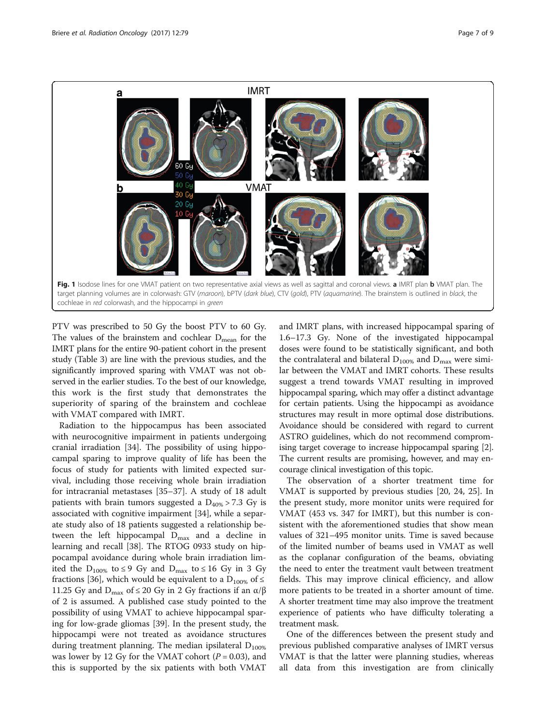<span id="page-6-0"></span>

PTV was prescribed to 50 Gy the boost PTV to 60 Gy. The values of the brainstem and cochlear  $D_{mean}$  for the IMRT plans for the entire 90-patient cohort in the present study (Table [3](#page-3-0)) are line with the previous studies, and the significantly improved sparing with VMAT was not observed in the earlier studies. To the best of our knowledge, this work is the first study that demonstrates the superiority of sparing of the brainstem and cochleae with VMAT compared with IMRT.

Radiation to the hippocampus has been associated with neurocognitive impairment in patients undergoing cranial irradiation [\[34\]](#page-8-0). The possibility of using hippocampal sparing to improve quality of life has been the focus of study for patients with limited expected survival, including those receiving whole brain irradiation for intracranial metastases [\[35](#page-8-0)–[37\]](#page-8-0). A study of 18 adult patients with brain tumors suggested a  $D_{40\%} > 7.3$  Gy is associated with cognitive impairment [\[34](#page-8-0)], while a separate study also of 18 patients suggested a relationship between the left hippocampal  $\mathbf{D}_{\max}$  and a decline in learning and recall [\[38\]](#page-8-0). The RTOG 0933 study on hippocampal avoidance during whole brain irradiation limited the  $D_{100\%}$  to  $\leq 9$  Gy and  $D_{\text{max}}$  to  $\leq 16$  Gy in 3 Gy fractions [\[36\]](#page-8-0), which would be equivalent to a  $D_{100\%}$  of  $\leq$ 11.25 Gy and  $D_{\text{max}}$  of  $\leq 20$  Gy in 2 Gy fractions if an  $\alpha/\beta$ of 2 is assumed. A published case study pointed to the possibility of using VMAT to achieve hippocampal sparing for low-grade gliomas [[39\]](#page-8-0). In the present study, the hippocampi were not treated as avoidance structures during treatment planning. The median ipsilateral  $D_{100\%}$ was lower by 12 Gy for the VMAT cohort  $(P = 0.03)$ , and this is supported by the six patients with both VMAT and IMRT plans, with increased hippocampal sparing of 1.6–17.3 Gy. None of the investigated hippocampal doses were found to be statistically significant, and both the contralateral and bilateral  $D_{100\%}$  and  $D_{\text{max}}$  were similar between the VMAT and IMRT cohorts. These results suggest a trend towards VMAT resulting in improved hippocampal sparing, which may offer a distinct advantage for certain patients. Using the hippocampi as avoidance structures may result in more optimal dose distributions. Avoidance should be considered with regard to current ASTRO guidelines, which do not recommend compromising target coverage to increase hippocampal sparing [[2](#page-7-0)]. The current results are promising, however, and may encourage clinical investigation of this topic.

The observation of a shorter treatment time for VMAT is supported by previous studies [\[20](#page-8-0), [24, 25\]](#page-8-0). In the present study, more monitor units were required for VMAT (453 vs. 347 for IMRT), but this number is consistent with the aforementioned studies that show mean values of 321–495 monitor units. Time is saved because of the limited number of beams used in VMAT as well as the coplanar configuration of the beams, obviating the need to enter the treatment vault between treatment fields. This may improve clinical efficiency, and allow more patients to be treated in a shorter amount of time. A shorter treatment time may also improve the treatment experience of patients who have difficulty tolerating a treatment mask.

One of the differences between the present study and previous published comparative analyses of IMRT versus VMAT is that the latter were planning studies, whereas all data from this investigation are from clinically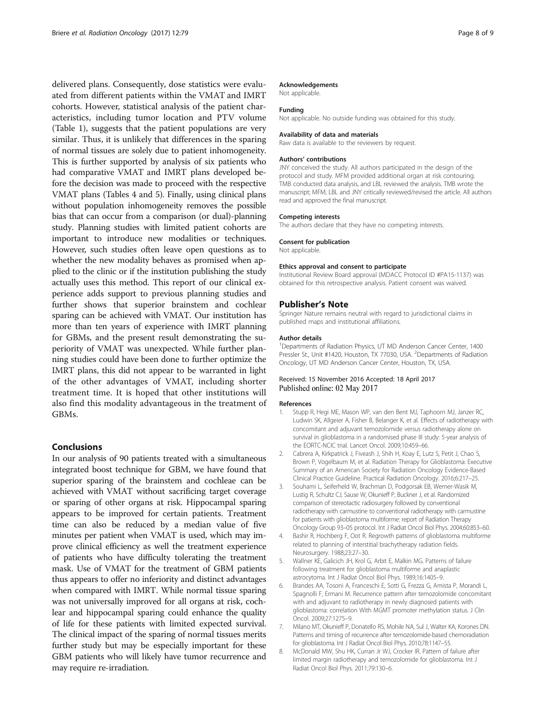<span id="page-7-0"></span>delivered plans. Consequently, dose statistics were evaluated from different patients within the VMAT and IMRT cohorts. However, statistical analysis of the patient characteristics, including tumor location and PTV volume (Table [1\)](#page-2-0), suggests that the patient populations are very similar. Thus, it is unlikely that differences in the sparing of normal tissues are solely due to patient inhomogeneity. This is further supported by analysis of six patients who had comparative VMAT and IMRT plans developed before the decision was made to proceed with the respective VMAT plans (Tables [4](#page-4-0) and [5](#page-5-0)). Finally, using clinical plans without population inhomogeneity removes the possible bias that can occur from a comparison (or dual)-planning study. Planning studies with limited patient cohorts are important to introduce new modalities or techniques. However, such studies often leave open questions as to whether the new modality behaves as promised when applied to the clinic or if the institution publishing the study actually uses this method. This report of our clinical experience adds support to previous planning studies and further shows that superior brainstem and cochlear sparing can be achieved with VMAT. Our institution has more than ten years of experience with IMRT planning for GBMs, and the present result demonstrating the superiority of VMAT was unexpected. While further planning studies could have been done to further optimize the IMRT plans, this did not appear to be warranted in light of the other advantages of VMAT, including shorter treatment time. It is hoped that other institutions will also find this modality advantageous in the treatment of GBMs.

# Conclusions

In our analysis of 90 patients treated with a simultaneous integrated boost technique for GBM, we have found that superior sparing of the brainstem and cochleae can be achieved with VMAT without sacrificing target coverage or sparing of other organs at risk. Hippocampal sparing appears to be improved for certain patients. Treatment time can also be reduced by a median value of five minutes per patient when VMAT is used, which may improve clinical efficiency as well the treatment experience of patients who have difficulty tolerating the treatment mask. Use of VMAT for the treatment of GBM patients thus appears to offer no inferiority and distinct advantages when compared with IMRT. While normal tissue sparing was not universally improved for all organs at risk, cochlear and hippocampal sparing could enhance the quality of life for these patients with limited expected survival. The clinical impact of the sparing of normal tissues merits further study but may be especially important for these GBM patients who will likely have tumor recurrence and may require re-irradiation.

### Acknowledgements

Not applicable.

## Funding

Not applicable. No outside funding was obtained for this study.

#### Availability of data and materials

Raw data is available to the reviewers by request.

### Authors' contributions

JNY conceived the study. All authors participated in the design of the protocol and study. MFM provided additional organ at risk contouring. TMB conducted data analysis, and LBL reviewed the analysis. TMB wrote the manuscript; MFM, LBL and JNY critically reviewed/revised the article. All authors read and approved the final manuscript.

#### Competing interests

The authors declare that they have no competing interests.

#### Consent for publication

Not applicable.

#### Ethics approval and consent to participate

Institutional Review Board approval (MDACC Protocol ID #PA15-1137) was obtained for this retrospective analysis. Patient consent was waived.

## Publisher's Note

Springer Nature remains neutral with regard to jurisdictional claims in published maps and institutional affiliations.

#### Author details

<sup>1</sup>Departments of Radiation Physics, UT MD Anderson Cancer Center, 1400 Pressler St., Unit #1420, Houston, TX 77030, USA. <sup>2</sup>Departments of Radiation Oncology, UT MD Anderson Cancer Center, Houston, TX, USA.

# Received: 15 November 2016 Accepted: 18 April 2017 Published online: 02 May 2017

#### References

- 1. Stupp R, Hegi ME, Mason WP, van den Bent MJ, Taphoorn MJ, Janzer RC, Ludwin SK, Allgeier A, Fisher B, Belanger K, et al. Effects of radiotherapy with concomitant and adjuvant temozolomide versus radiotherapy alone on survival in glioblastoma in a randomised phase III study: 5-year analysis of the EORTC-NCIC trial. Lancet Oncol. 2009;10:459–66.
- 2. Cabrera A, Kirkpatrick J, Fiveash J, Shih H, Koay E, Lutz S, Petit J, Chao S, Brown P, Vogelbaum M, et al. Radiation Therapy for Glioblastoma: Executive Summary of an American Society for Radiation Oncology Evidence-Based Clinical Practice Guideline. Practical Radiation Oncology. 2016;6:217–25.
- 3. Souhami L, Seiferheld W, Brachman D, Podgorsak EB, Werner-Wasik M, Lustig R, Schultz CJ, Sause W, Okunieff P, Buckner J, et al. Randomized comparison of stereotactic radiosurgery followed by conventional radiotherapy with carmustine to conventional radiotherapy with carmustine for patients with glioblastoma multiforme: report of Radiation Therapy Oncology Group 93–05 protocol. Int J Radiat Oncol Biol Phys. 2004;60:853–60.
- Bashir R, Hochberg F, Oot R. Regrowth patterns of glioblastoma multiforme related to planning of interstitial brachytherapy radiation fields. Neurosurgery. 1988;23:27–30.
- 5. Wallner KE, Galicich JH, Krol G, Arbit E, Malkin MG. Patterns of failure following treatment for glioblastoma multiforme and anaplastic astrocytoma. Int J Radiat Oncol Biol Phys. 1989;16:1405–9.
- 6. Brandes AA, Tosoni A, Franceschi E, Sotti G, Frezza G, Amista P, Morandi L, Spagnolli F, Ermani M. Recurrence pattern after temozolomide concomitant with and adjuvant to radiotherapy in newly diagnosed patients with glioblastoma: correlation With MGMT promoter methylation status. J Clin Oncol. 2009;27:1275–9.
- 7. Milano MT, Okunieff P, Donatello RS, Mohile NA, Sul J, Walter KA, Korones DN. Patterns and timing of recurrence after temozolomide-based chemoradiation for glioblastoma. Int J Radiat Oncol Biol Phys. 2010;78:1147–55.
- 8. McDonald MW, Shu HK, Curran Jr WJ, Crocker IR. Pattern of failure after limited margin radiotherapy and temozolomide for glioblastoma. Int J Radiat Oncol Biol Phys. 2011;79:130–6.